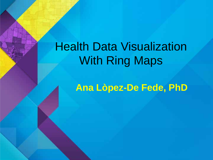# Health Data Visualization With Ring Maps

**Ana Lòpez-De Fede, PhD**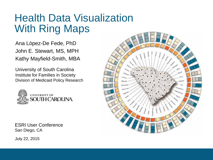### Health Data Visualization With Ring Maps

Ana Lòpez-De Fede, PhD John E. Stewart, MS, MPH Kathy Mayfield-Smith, MBA

University of South Carolina Institute for Families in Society Division of Medicaid Policy Research



ESRI User Conference San Diego, CA



July 22, 2015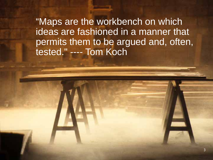"Maps are the workbench on which ideas are fashioned in a manner that permits them to be argued and, often, tested." ---- Tom Koch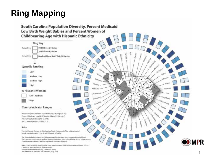### **Ring Mapping**

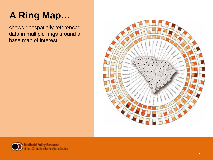# **A Ring Map**…

shows geospatially referenced data in multiple rings around a base map of interest.



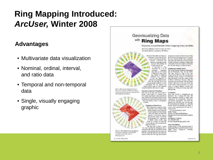### **Ring Mapping Introduced:** *ArcUser,* **Winter 2008**

#### **Advantages**

- Multivariate data visualization
- Nominal, ordinal, interval, and ratio data
- Temporal and non-temporal data
- Single, visually engaging graphic

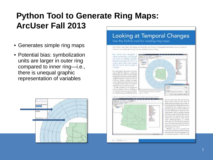### **Python Tool to Generate Ring Maps: ArcUser Fall 2013**

- Generates simple ring maps
- Potential bias: symbolization units are larger in outer ring compared to inner ring—i.e., there is unequal graphic representation of variables



#### **Looking at Temporal Changes** Use this Python tool for creating ring maps

By Ya-Oleen (Olan, Oleen Min Wang, and Yang Met Lee, Carter for Deographic Information Selector, Research Certer by Humanites and Israel Sciences, Academia Sinca; Seven

The suitars have devolged a Pythsuntask that aligns saw's through the process of cleating a ring man. They have provided the sock in a problem along with some sumpledata that you be send to control a THE RIGHT

The real/designed alternation of activities into an Alfred to degree to a ringle carp. backing also were other many the multiple lenguated a procedure for expendence. in defined biodeca in terato by charts on a EST sign Sherman readiple free practice moved cheadles the spatners agreed statistic the buy-flex, and har charts are sometimed publicate heraus than exposela-In 1000, computers at the Googatinus Thistoricy, Highest Carter in Washington.

TC proposed asking this chain be integrate

the traditions are experienced to the tradition



Quinner manning distant and well with the Actions shy He and the response to down



the one simple map 20th northly thinks Hang, Seigh (Inera) Jee Chai Derist M. Harley and Arrest M. Milton was investigating Sind-the-all-of-gLEN-is work all up Major Jeppens capaloasia afire neprig-sany lariaassi kiti, galvani nu in bestig, habita faith of her firm (Hing maps can a bournage uniter comed festers, and recoverable tings represult the compositing attributes in each lucations Data Life tracks need likes and last weith dinner wentle as soon's around came materialentals, is conflicgains taken handless of the same index with maps. Other distances be present and martitist ingletons the polential technical score-isbeau accord the stictimize.

Mongle's ring may is a possible tool. there was no stop by may be shell describing unstancial porni. The instrumed independent of Re-overing a cing ange in Avrill 1921 ining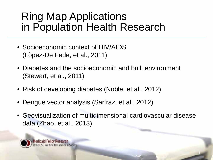## Ring Map Applications in Population Health Research

- Socioeconomic context of HIV/AIDS (Lòpez-De Fede, et al., 2011)
- Diabetes and the socioeconomic and built environment (Stewart, et al., 2011)
- Risk of developing diabetes (Noble, et al., 2012)
- Dengue vector analysis (Sarfraz, et al., 2012)
- Geovisualization of multidimensional cardiovascular disease data (Zhao, et al., 2013)

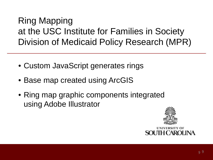### Ring Mapping at the USC Institute for Families in Society Division of Medicaid Policy Research (MPR)

- Custom JavaScript generates rings
- Base map created using ArcGIS
- Ring map graphic components integrated using Adobe Illustrator



H CAROL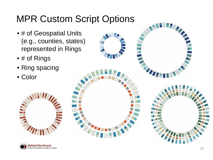### MPR Custom Script Options

- # of Geospatial Units (e.g., counties, states) represented in Rings
- # of Rings
- Ring spacing
- Color





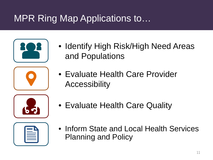## MPR Ring Map Applications to…

- - Identify High Risk/High Need Areas and Populations
	- Evaluate Health Care Provider **Accessibility**



• Evaluate Health Care Quality

• Inform State and Local Health Services Planning and Policy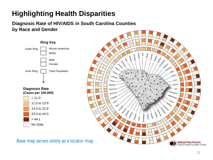### **Highlighting Health Disparities**

**Diagnosis Rate of HIV/AIDS in South Carolina Counties by Race and Gender**





Base map serves solely as a locator map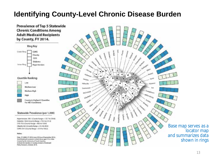#### **Identifying County-Level Chronic Disease Burden**

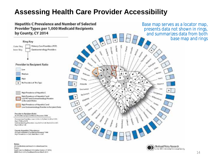#### **Assessing Health Care Provider Accessibility**



South Carolina Medicard information System, CY 2014, MARS March 2015; Enrollment Broker March 2015.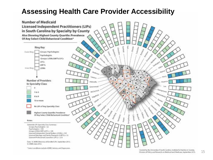#### **Assessing Health Care Provider Accessibility**

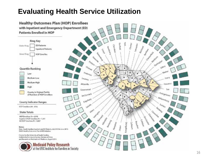#### **Evaluating Health Service Utilization**

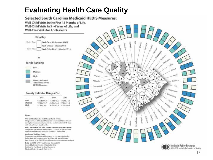### **Evaluating Health Care Quality**

Investment For Fainillies in Society, Division of

Medicaid Policy Research, April 2015.

#### Selected South Carolina Medicaid HEDIS Measures: Well-Child Visits in the First 15 Months of Life. Well-Child Visits in 3 - 6 Years of Life, and **Well-Care Visits for Adolescents Ring Key** Outer Ring Well-Care: Adolescents (AWC) Well-Child: 3 - 6 Years (W34) Inner Ring Well-Child: First 15 Months (W15) **Tertile Ranking**  $\phi^{\mu\nu}$  $\alpha_{\alpha_{\alpha_{\alpha}}}$ Low **Marina** Anderson Medium HOFT Lawent High ٠ ۰ County in Lowest Florence Atbeville Tertile in All Three **HEDIS Measures** Goornwood. Leis Georgetown McComick **County Indicator Ranges (%) Rollensburg** santas **WIS** W34 **AWC** Low-92.5 to 96.9 41.7 to 49.6 17.9 to 27.1 **Medium** 97.0 to 97.7 49.7 to 54.4 27.7 to 31.0 High 97.8 to 100 54.5 to 63.3 37.1 to 40.5 Notes: Well-Child Visits in the First Efferer Month of Life: The percentrage of Medicald Recipients who turned 15 months old during the measurement year and who had at losst one WeB Chiki. sist with a Printery Care Provider. Well-Child Visits in the Third, Fourth, Fifth and Stath Years of Life: The percentage of Medicaid Recipients 1 - 6 pears of age who had one or more Well-Child visits with a Primary Care Provider. Adolescent Well-Care Visits: The percentage of Medicald Recipients 12 - 21 years of age who had at least one comprehensive Woll Care Half with a Primary Care Prinvider or an OB/GYN practitioner during the measurement year. Data: SCMMS, CY2014:US Ceisan Barena 2010. Created by the University of South Carolina.

Medicaid Policy Research the USC leatitute for Families in Society 17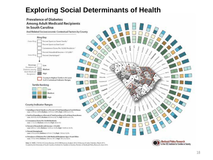#### **Exploring Social Determinants of Health**

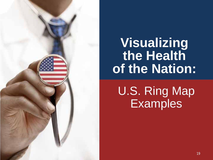![](_page_18_Picture_0.jpeg)

# **Visualizing the Health of the Nation:**

U.S. Ring Map **Examples**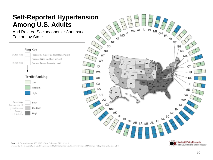#### **Self-Reported Hypertension Among U.S. Adults**

And Related Socioeconomic Contextual Factors by State

![](_page_19_Figure_2.jpeg)

![](_page_19_Figure_3.jpeg)

Data: U.S. Census Bureau, ACS 2013 3-Year Estimates; BRFSS, 2013.

Created by the University of South Carolina, Institute for Families in Society, Division of Medicaid Policy Research, June 2015.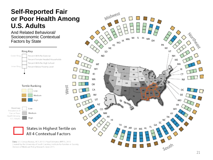#### **Self-Reported Fair or Poor Health Among U.S. Adults**

And Related Behavioral/ Socioeconomic Contextual Factors by State

![](_page_20_Figure_2.jpeg)

#### States in Highest Tertile on All 4 Contextual Factors

Data: U.S. Census Bureau, ACS 2013 3-Year Estimates; BRFSS, 2013. Created by the University of South Carolina, Institute for Families in Society, Division of Medicaid Policy Research, June 2015.

![](_page_20_Figure_5.jpeg)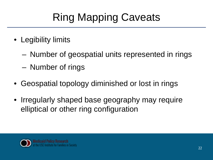# Ring Mapping Caveats

- Legibility limits
	- Number of geospatial units represented in rings
	- Number of rings
- Geospatial topology diminished or lost in rings
- Irregularly shaped base geography may require elliptical or other ring configuration